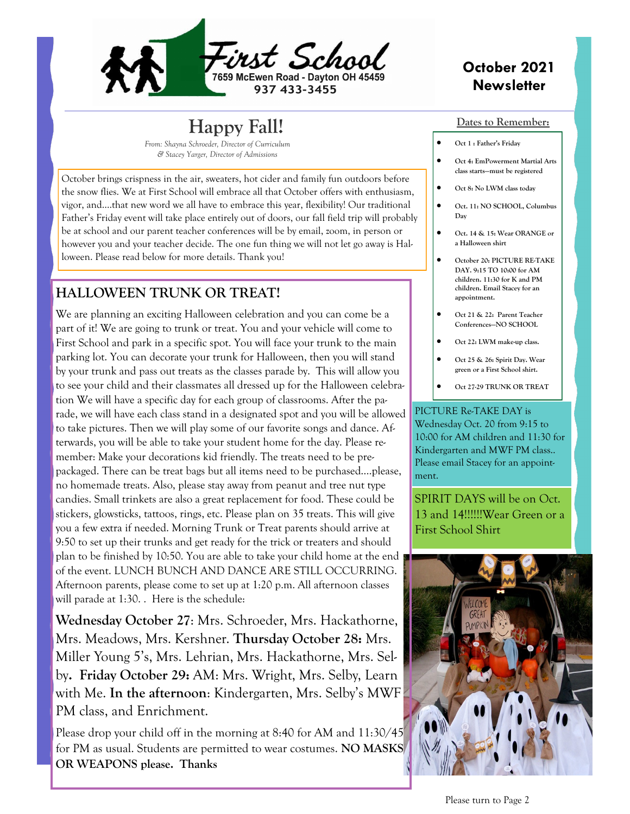

# **Happy Fall!**

*From: Shayna Schroeder, Director of Curriculum & Stacey Yarger, Director of Admissions* 

October brings crispness in the air, sweaters, hot cider and family fun outdoors before the snow flies. We at First School will embrace all that October offers with enthusiasm, vigor, and….that new word we all have to embrace this year, flexibility! Our traditional Father's Friday event will take place entirely out of doors, our fall field trip will probably be at school and our parent teacher conferences will be by email, zoom, in person or however you and your teacher decide. The one fun thing we will not let go away is Halloween. Please read below for more details. Thank you!

### **HALLOWEEN TRUNK OR TREAT!**

We are planning an exciting Halloween celebration and you can come be a part of it! We are going to trunk or treat. You and your vehicle will come to First School and park in a specific spot. You will face your trunk to the main parking lot. You can decorate your trunk for Halloween, then you will stand by your trunk and pass out treats as the classes parade by. This will allow you to see your child and their classmates all dressed up for the Halloween celebration We will have a specific day for each group of classrooms. After the parade, we will have each class stand in a designated spot and you will be allowed to take pictures. Then we will play some of our favorite songs and dance. Afterwards, you will be able to take your student home for the day. Please remember: Make your decorations kid friendly. The treats need to be prepackaged. There can be treat bags but all items need to be purchased….please, no homemade treats. Also, please stay away from peanut and tree nut type candies. Small trinkets are also a great replacement for food. These could be stickers, glowsticks, tattoos, rings, etc. Please plan on 35 treats. This will give you a few extra if needed. Morning Trunk or Treat parents should arrive at 9:50 to set up their trunks and get ready for the trick or treaters and should plan to be finished by 10:50. You are able to take your child home at the end of the event. LUNCH BUNCH AND DANCE ARE STILL OCCURRING. Afternoon parents, please come to set up at 1:20 p.m. All afternoon classes will parade at 1:30. . Here is the schedule:

**Wednesday October 27**: Mrs. Schroeder, Mrs. Hackathorne, Mrs. Meadows, Mrs. Kershner. **Thursday October 28:** Mrs. Miller Young 5's, Mrs. Lehrian, Mrs. Hackathorne, Mrs. Selby**. Friday October 29:** AM: Mrs. Wright, Mrs. Selby, Learn with Me. **In the afternoon**: Kindergarten, Mrs. Selby's MWF PM class, and Enrichment.

Please drop your child off in the morning at 8:40 for AM and 11:30/45 for PM as usual. Students are permitted to wear costumes. **NO MASKS OR WEAPONS please. Thanks**

### **October 2021 Newsletter**

#### **Dates to Remember:**

- **Oct 1 : Father's Friday**
- **Oct 4: EmPowerment Martial Arts class starts—must be registered**
- **Oct 8: No LWM class today**
- **Oct. 11: NO SCHOOL, Columbus Day**
- **Oct. 14 & 15: Wear ORANGE or a Halloween shirt**
- **October 20: PICTURE RE-TAKE DAY. 9:15 TO 10:00 for AM children. 11:30 for K and PM children. Email Stacey for an appointment.**
- **Oct 21 & 22: Parent Teacher Conferences—NO SCHOOL**
- **Oct 22: LWM make-up class.**
- **Oct 25 & 26: Spirit Day. Wear green or a First School shirt.**
- **Oct 27-29 TRUNK OR TREAT**

PICTURE Re-TAKE DAY is Wednesday Oct. 20 from 9:15 to 10:00 for AM children and 11:30 for Kindergarten and MWF PM class.. Please email Stacey for an appointment.

SPIRIT DAYS will be on Oct. 13 and 14!!!!!!Wear Green or a First School Shirt